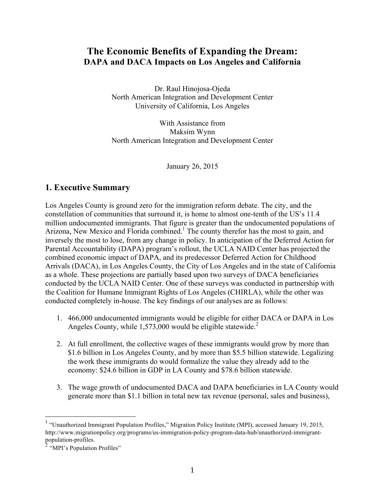## **The Economic Benefits of Expanding the Dream: DAPA and DACA Impacts on Los Angeles and California**

Dr. Raul Hinojosa-Ojeda North American Integration and Development Center University of California, Los Angeles

With Assistance from Maksim Wynn North American Integration and Development Center

January 26, 2015

### **1. Executive Summary**

Los Angeles County is ground zero for the immigration reform debate. The city, and the constellation of communities that surround it, is home to almost one-tenth of the US's 11.4 million undocumented immigrants. That figure is greater than the undocumented populations of Arizona, New Mexico and Florida combined.<sup>1</sup> The county therefor has the most to gain, and inversely the most to lose, from any change in policy. In anticipation of the Deferred Action for Parental Accountability (DAPA) program's rollout, the UCLA NAID Center has projected the combined economic impact of DAPA, and its predecessor Deferred Action for Childhood Arrivals (DACA), in Los Angeles County, the City of Los Angeles and in the state of California as a whole. These projections are partially based upon two surveys of DACA beneficiaries conducted by the UCLA NAID Center. One of these surveys was conducted in partnership with the Coalition for Humane Immigrant Rights of Los Angeles (CHIRLA), while the other was conducted completely in-house. The key findings of our analyses are as follows:

- 1. 466,000 undocumented immigrants would be eligible for either DACA or DAPA in Los Angeles County, while  $1,573,000$  would be eligible statewide.<sup>2</sup>
- 2. At full enrollment, the collective wages of these immigrants would grow by more than \$1.6 billion in Los Angeles County, and by more than \$5.5 billion statewide. Legalizing the work these immigrants do would formalize the value they already add to the economy: \$24.6 billion in GDP in LA County and \$78.6 billion statewide.
- 3. The wage growth of undocumented DACA and DAPA beneficiaries in LA County would generate more than \$1.1 billion in total new tax revenue (personal, sales and business),

<sup>&</sup>lt;sup>1</sup> "Unauthorized Immigrant Population Profiles," Migration Policy Institute (MPI), accessed January 19, 2015, http://www.migrationpolicy.org/programs/us-immigration-policy-program-data-hub/unauthorized-immigrantpopulation-profiles.

 $2 \cdot MPI$ 's Population Profiles"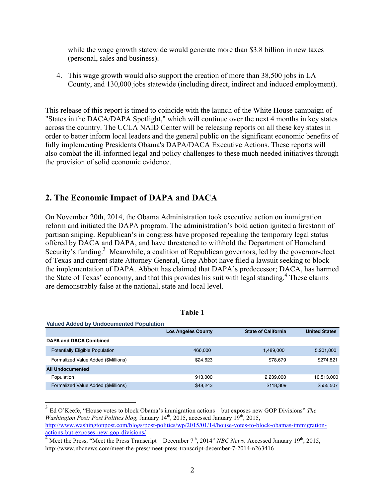while the wage growth statewide would generate more than \$3.8 billion in new taxes (personal, sales and business).

4. This wage growth would also support the creation of more than 38,500 jobs in LA County, and 130,000 jobs statewide (including direct, indirect and induced employment).

This release of this report is timed to coincide with the launch of the White House campaign of "States in the DACA/DAPA Spotlight," which will continue over the next 4 months in key states across the country. The UCLA NAID Center will be releasing reports on all these key states in order to better inform local leaders and the general public on the significant economic benefits of fully implementing Presidents Obama's DAPA/DACA Executive Actions. These reports will also combat the ill-informed legal and policy challenges to these much needed initiatives through the provision of solid economic evidence.

### **2. The Economic Impact of DAPA and DACA**

On November 20th, 2014, the Obama Administration took executive action on immigration reform and initiated the DAPA program. The administration's bold action ignited a firestorm of partisan sniping. Republican's in congress have proposed repealing the temporary legal status offered by DACA and DAPA, and have threatened to withhold the Department of Homeland Security's funding.<sup>3</sup> Meanwhile, a coalition of Republican governors, led by the governor-elect of Texas and current state Attorney General, Greg Abbot have filed a lawsuit seeking to block the implementation of DAPA. Abbott has claimed that DAPA's predecessor; DACA, has harmed the State of Texas' economy, and that this provides his suit with legal standing.<sup>4</sup> These claims are demonstrably false at the national, state and local level.

| <b>Valued Added by Undocumented Population</b> |                           |                            |                      |
|------------------------------------------------|---------------------------|----------------------------|----------------------|
|                                                | <b>Los Angeles County</b> | <b>State of California</b> | <b>United States</b> |
| <b>DAPA and DACA Combined</b>                  |                           |                            |                      |
| <b>Potentially Eligible Population</b>         | 466,000                   | 1,489,000                  | 5,201,000            |
| Formalized Value Added (\$Millions)            | \$24,623                  | \$78.679                   | \$274.821            |
| <b>All Undocumented</b>                        |                           |                            |                      |
| Population                                     | 913.000                   | 2,239,000                  | 10,513,000           |
| Formalized Value Added (\$Millions)            | \$48,243                  | \$118,309                  | \$555,507            |

**Table 1**

 <sup>3</sup> Ed O'Keefe, "House votes to block Obama's immigration actions – but exposes new GOP Divisions" *The Washington Post: Post Politics blog, January 14<sup>th</sup>, 2015, accessed January 19<sup>th</sup>, 2015,* http://www.washingtonpost.com/blogs/post-politics/wp/2015/01/14/house-votes-to-block-obamas-immigrationactions-but-exposes-new-gop-divisions/

<sup>&</sup>lt;sup>4</sup> Meet the Press, "Meet the Press Transcript – December 7<sup>th</sup>, 2014" *NBC News*, Accessed January 19<sup>th</sup>, 2015, http://www.nbcnews.com/meet-the-press/meet-press-transcript-december-7-2014-n263416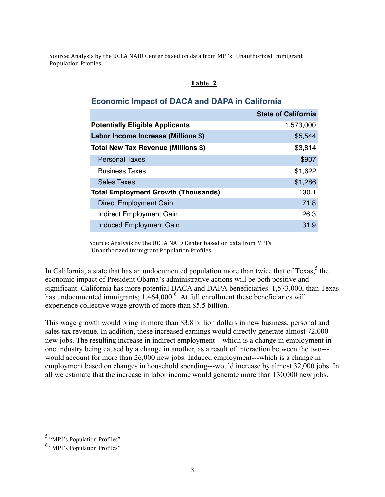Source: Analysis by the UCLA NAID Center based on data from MPI's "Unauthorized Immigrant Population Profiles."

### **Table 2**

### **Economic Impact of DACA and DAPA in California**

|                                            | <b>State of California</b> |
|--------------------------------------------|----------------------------|
| <b>Potentially Eligible Applicants</b>     | 1,573,000                  |
| Labor Income Increase (Millions \$)        | \$5,544                    |
| Total New Tax Revenue (Millions \$)        | \$3,814                    |
| <b>Personal Taxes</b>                      | \$907                      |
| <b>Business Taxes</b>                      | \$1,622                    |
| <b>Sales Taxes</b>                         | \$1,286                    |
| <b>Total Employment Growth (Thousands)</b> | 130.1                      |
| <b>Direct Employment Gain</b>              | 71.8                       |
| Indirect Employment Gain                   | 26.3                       |
| <b>Induced Employment Gain</b>             | 31.9                       |

Source: Analysis by the UCLA NAID Center based on data from MPI's "Unauthorized Immigrant Population Profiles."

In California, a state that has an undocumented population more than twice that of  $T$ exas, <sup>5</sup> the economic impact of President Obama's administrative actions will be both positive and significant. California has more potential DACA and DAPA beneficiaries; 1,573,000, than Texas has undocumented immigrants;  $1,464,000$ .<sup>6</sup> At full enrollment these beneficiaries will experience collective wage growth of more than \$5.5 billion.

This wage growth would bring in more than \$3.8 billion dollars in new business, personal and sales tax revenue. In addition, these increased earnings would directly generate almost 72,000 new jobs. The resulting increase in indirect employment---which is a change in employment in one industry being caused by a change in another, as a result of interaction between the two-- would account for more than 26,000 new jobs. Induced employment---which is a change in employment based on changes in household spending---would increase by almost 32,000 jobs. In all we estimate that the increase in labor income would generate more than 130,000 new jobs.

 <sup>5</sup> "MPI's Population Profiles"

<sup>6</sup> "MPI's Population Profiles"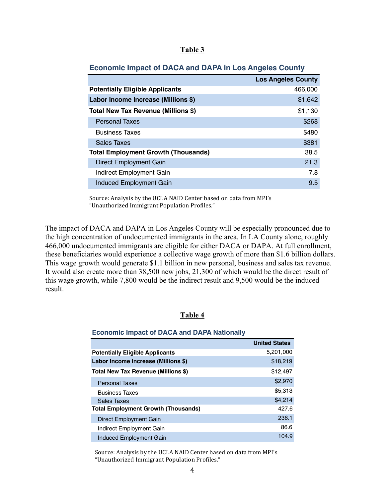| ı<br>H |  |
|--------|--|
|        |  |

|  |  | <b>Economic Impact of DACA and DAPA in Los Angeles County</b> |  |
|--|--|---------------------------------------------------------------|--|
|  |  |                                                               |  |

|                                            | <b>Los Angeles County</b> |
|--------------------------------------------|---------------------------|
| <b>Potentially Eligible Applicants</b>     | 466,000                   |
| Labor Income Increase (Millions \$)        | \$1,642                   |
| Total New Tax Revenue (Millions \$)        | \$1,130                   |
| <b>Personal Taxes</b>                      | \$268                     |
| <b>Business Taxes</b>                      | \$480                     |
| Sales Taxes                                | \$381                     |
| <b>Total Employment Growth (Thousands)</b> | 38.5                      |
| Direct Employment Gain                     | 21.3                      |
| Indirect Employment Gain                   | 7.8                       |
| Induced Employment Gain                    | 9.5                       |

Source: Analysis by the UCLA NAID Center based on data from MPI's "Unauthorized Immigrant Population Profiles."

The impact of DACA and DAPA in Los Angeles County will be especially pronounced due to the high concentration of undocumented immigrants in the area. In LA County alone, roughly 466,000 undocumented immigrants are eligible for either DACA or DAPA. At full enrollment, these beneficiaries would experience a collective wage growth of more than \$1.6 billion dollars. This wage growth would generate \$1.1 billion in new personal, business and sales tax revenue. It would also create more than 38,500 new jobs, 21,300 of which would be the direct result of this wage growth, while 7,800 would be the indirect result and 9,500 would be the induced result.

#### **Table 4**

#### **Economic Impact of DACA and DAPA Nationally**

|                                            | <b>United States</b> |
|--------------------------------------------|----------------------|
| <b>Potentially Eligible Applicants</b>     | 5,201,000            |
| Labor Income Increase (Millions \$)        | \$18,219             |
| Total New Tax Revenue (Millions \$)        | \$12,497             |
| <b>Personal Taxes</b>                      | \$2,970              |
| <b>Business Taxes</b>                      | \$5,313              |
| Sales Taxes                                | \$4,214              |
| <b>Total Employment Growth (Thousands)</b> | 427.6                |
| Direct Employment Gain                     | 236.1                |
| Indirect Employment Gain                   | 86.6                 |
| Induced Employment Gain                    | 104.9                |

Source: Analysis by the UCLA NAID Center based on data from MPI's "Unauthorized Immigrant Population Profiles."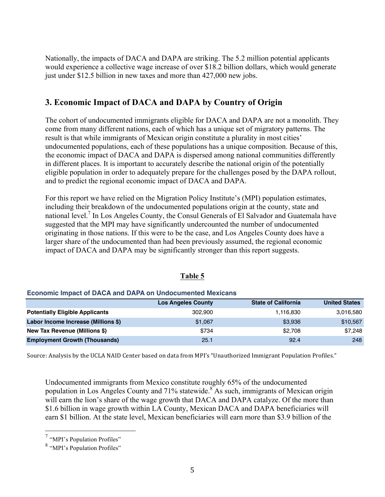Nationally, the impacts of DACA and DAPA are striking. The 5.2 million potential applicants would experience a collective wage increase of over \$18.2 billion dollars, which would generate just under \$12.5 billion in new taxes and more than 427,000 new jobs.

## **3. Economic Impact of DACA and DAPA by Country of Origin**

The cohort of undocumented immigrants eligible for DACA and DAPA are not a monolith. They come from many different nations, each of which has a unique set of migratory patterns. The result is that while immigrants of Mexican origin constitute a plurality in most cities' undocumented populations, each of these populations has a unique composition. Because of this, the economic impact of DACA and DAPA is dispersed among national communities differently in different places. It is important to accurately describe the national origin of the potentially eligible population in order to adequately prepare for the challenges posed by the DAPA rollout, and to predict the regional economic impact of DACA and DAPA.

For this report we have relied on the Migration Policy Institute's (MPI) population estimates, including their breakdown of the undocumented populations origin at the county, state and national level.<sup>7</sup> In Los Angeles County, the Consul Generals of El Salvador and Guatemala have suggested that the MPI may have significantly undercounted the number of undocumented originating in those nations. If this were to be the case, and Los Angeles County does have a larger share of the undocumented than had been previously assumed, the regional economic impact of DACA and DAPA may be significantly stronger than this report suggests.

|                                        | <b>Los Angeles County</b> | <b>State of California</b> | <b>United States</b> |  |
|----------------------------------------|---------------------------|----------------------------|----------------------|--|
| <b>Potentially Eligible Applicants</b> | 302.900                   | 1,116,830                  | 3,016,580            |  |
| Labor Income Increase (Millions \$)    | \$1,067                   | \$3,936                    | \$10,567             |  |
| New Tax Revenue (Millions \$)          | \$734                     | \$2.708                    | \$7.248              |  |
| <b>Employment Growth (Thousands)</b>   | 25.1                      | 92.4                       | 248                  |  |

### **Table 5**

# Source: Analysis by the UCLA NAID Center based on data from MPI's "Unauthorized Immigrant Population Profiles."

**Economic Impact of DACA and DAPA on Undocumented Mexicans**

Undocumented immigrants from Mexico constitute roughly 65% of the undocumented population in Los Angeles County and 71% statewide.<sup>8</sup> As such, immigrants of Mexican origin will earn the lion's share of the wage growth that DACA and DAPA catalyze. Of the more than \$1.6 billion in wage growth within LA County, Mexican DACA and DAPA beneficiaries will earn \$1 billion. At the state level, Mexican beneficiaries will earn more than \$3.9 billion of the

 <sup>7</sup> "MPI's Population Profiles"

<sup>8</sup> "MPI's Population Profiles"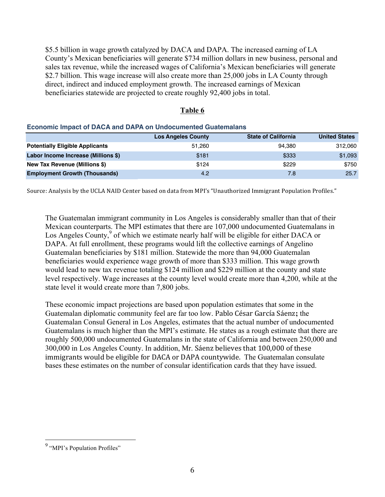\$5.5 billion in wage growth catalyzed by DACA and DAPA. The increased earning of LA County's Mexican beneficiaries will generate \$734 million dollars in new business, personal and sales tax revenue, while the increased wages of California's Mexican beneficiaries will generate \$2.7 billion. This wage increase will also create more than 25,000 jobs in LA County through direct, indirect and induced employment growth. The increased earnings of Mexican beneficiaries statewide are projected to create roughly 92,400 jobs in total.

#### **Table 6**

#### **Economic Impact of DACA and DAPA on Undocumented Guatemalans**

|                                        | <b>Los Angeles County</b> | <b>State of California</b> | <b>United States</b> |
|----------------------------------------|---------------------------|----------------------------|----------------------|
| <b>Potentially Eligible Applicants</b> | 51.260                    | 94.380                     | 312.060              |
| Labor Income Increase (Millions \$)    | \$181                     | \$333                      | \$1,093              |
| New Tax Revenue (Millions \$)          | \$124                     | \$229                      | \$750                |
| <b>Employment Growth (Thousands)</b>   | 4.2                       | 7.8                        | 25.7                 |

Source: Analysis by the UCLA NAID Center based on data from MPI's "Unauthorized Immigrant Population Profiles."

The Guatemalan immigrant community in Los Angeles is considerably smaller than that of their Mexican counterparts. The MPI estimates that there are 107,000 undocumented Guatemalans in Los Angeles County,<sup>9</sup> of which we estimate nearly half will be eligible for either DACA or DAPA. At full enrollment, these programs would lift the collective earnings of Angelino Guatemalan beneficiaries by \$181 million. Statewide the more than 94,000 Guatemalan beneficiaries would experience wage growth of more than \$333 million. This wage growth would lead to new tax revenue totaling \$124 million and \$229 million at the county and state level respectively. Wage increases at the county level would create more than 4,200, while at the state level it would create more than 7,800 jobs.

These economic impact projections are based upon population estimates that some in the Guatemalan diplomatic community feel are far too low. Pablo César García Sáenz**;** the Guatemalan Consul General in Los Angeles, estimates that the actual number of undocumented Guatemalans is much higher than the MPI's estimate. He states as a rough estimate that there are roughly 500,000 undocumented Guatemalans in the state of California and between 250,000 and 300,000 in Los Angeles County. In addition, Mr. Sáenz believes that 100,000 of these immigrants would be eligible for DACA or DAPA countywide. The Guatemalan consulate bases these estimates on the number of consular identification cards that they have issued.

<sup>&</sup>lt;sup>9</sup> "MPI's Population Profiles"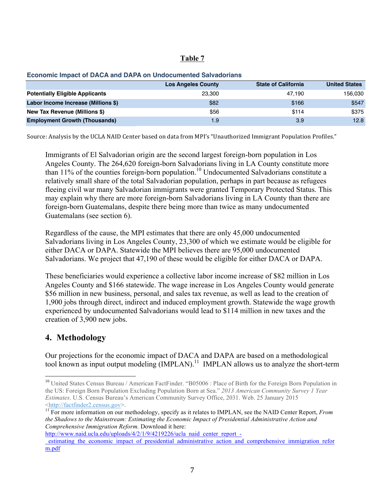#### **Table 7**

|                                        | <b>Los Angeles County</b> | <b>State of California</b> | <b>United States</b> |
|----------------------------------------|---------------------------|----------------------------|----------------------|
| <b>Potentially Eligible Applicants</b> | 23.300                    | 47.190                     | 156.030              |
| Labor Income Increase (Millions \$)    | \$82                      | \$166                      | \$547                |
| New Tax Revenue (Millions \$)          | \$56                      | \$114                      | \$375                |
| <b>Employment Growth (Thousands)</b>   | 1.9                       | 3.9                        | 12.8                 |

#### **Economic Impact of DACA and DAPA on Undocumented Salvadorians**

Source: Analysis by the UCLA NAID Center based on data from MPI's "Unauthorized Immigrant Population Profiles."

Immigrants of El Salvadorian origin are the second largest foreign-born population in Los Angeles County. The 264,620 foreign-born Salvadorians living in LA County constitute more than 11% of the counties foreign-born population.<sup>10</sup> Undocumented Salvadorians constitute a relatively small share of the total Salvadorian population, perhaps in part because as refugees fleeing civil war many Salvadorian immigrants were granted Temporary Protected Status. This may explain why there are more foreign-born Salvadorians living in LA County than there are foreign-born Guatemalans, despite there being more than twice as many undocumented Guatemalans (see section 6).

Regardless of the cause, the MPI estimates that there are only 45,000 undocumented Salvadorians living in Los Angeles County, 23,300 of which we estimate would be eligible for either DACA or DAPA. Statewide the MPI believes there are 95,000 undocumented Salvadorians. We project that 47,190 of these would be eligible for either DACA or DAPA.

These beneficiaries would experience a collective labor income increase of \$82 million in Los Angeles County and \$166 statewide. The wage increase in Los Angeles County would generate \$56 million in new business, personal, and sales tax revenue, as well as lead to the creation of 1,900 jobs through direct, indirect and induced employment growth. Statewide the wage growth experienced by undocumented Salvadorians would lead to \$114 million in new taxes and the creation of 3,900 new jobs.

## **4. Methodology**

Our projections for the economic impact of DACA and DAPA are based on a methodological tool known as input output modeling (IMPLAN).11 IMPLAN allows us to analyze the short-term

http://www.naid.ucla.edu/uploads/4/2/1/9/4219226/ucla\_naid\_center\_report\_estimating the economic\_impact\_of\_presidential\_administrative\_action\_and\_comprehensive\_immigration\_refor m.pdf

<sup>&</sup>lt;sup>10</sup> United States Census Bureau / American FactFinder. "B05006 : Place of Birth for the Foreign Born Population in the US: Foreign Born Population Excluding Population Born at Sea." *2013 American Community Survey 1 Year Estimates*. U.S. Census Bureau's American Community Survey Office, 2031. Web. 25 January 2015 <http://factfinder2.census.gov>. <sup>11</sup> For more information on our methodology, specify as it relates to IMPLAN, see the NAID Center Report, *From* 

*the Shadows to the Mainstream: Estimating the Economic Impact of Presidential Administrative Action and Comprehensive Immigration Reform.* Download it here: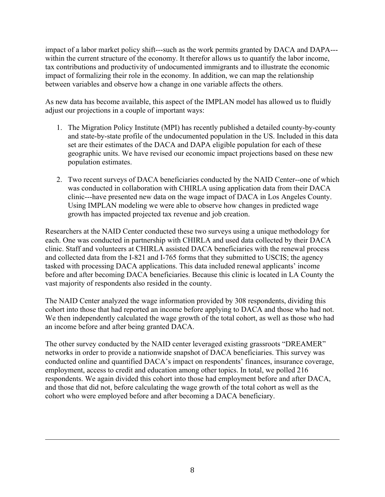impact of a labor market policy shift---such as the work permits granted by DACA and DAPA-- within the current structure of the economy. It therefor allows us to quantify the labor income, tax contributions and productivity of undocumented immigrants and to illustrate the economic impact of formalizing their role in the economy. In addition, we can map the relationship between variables and observe how a change in one variable affects the others.

As new data has become available, this aspect of the IMPLAN model has allowed us to fluidly adjust our projections in a couple of important ways:

- 1. The Migration Policy Institute (MPI) has recently published a detailed county-by-county and state-by-state profile of the undocumented population in the US. Included in this data set are their estimates of the DACA and DAPA eligible population for each of these geographic units. We have revised our economic impact projections based on these new population estimates.
- 2. Two recent surveys of DACA beneficiaries conducted by the NAID Center--one of which was conducted in collaboration with CHIRLA using application data from their DACA clinic---have presented new data on the wage impact of DACA in Los Angeles County. Using IMPLAN modeling we were able to observe how changes in predicted wage growth has impacted projected tax revenue and job creation.

Researchers at the NAID Center conducted these two surveys using a unique methodology for each. One was conducted in partnership with CHIRLA and used data collected by their DACA clinic. Staff and volunteers at CHIRLA assisted DACA beneficiaries with the renewal process and collected data from the I-821 and I-765 forms that they submitted to USCIS; the agency tasked with processing DACA applications. This data included renewal applicants' income before and after becoming DACA beneficiaries. Because this clinic is located in LA County the vast majority of respondents also resided in the county.

The NAID Center analyzed the wage information provided by 308 respondents, dividing this cohort into those that had reported an income before applying to DACA and those who had not. We then independently calculated the wage growth of the total cohort, as well as those who had an income before and after being granted DACA.

The other survey conducted by the NAID center leveraged existing grassroots "DREAMER" networks in order to provide a nationwide snapshot of DACA beneficiaries. This survey was conducted online and quantified DACA's impact on respondents' finances, insurance coverage, employment, access to credit and education among other topics. In total, we polled 216 respondents. We again divided this cohort into those had employment before and after DACA, and those that did not, before calculating the wage growth of the total cohort as well as the cohort who were employed before and after becoming a DACA beneficiary.

<u> 1989 - Andrea San Andrea San Andrea San Andrea San Andrea San Andrea San Andrea San Andrea San Andrea San An</u>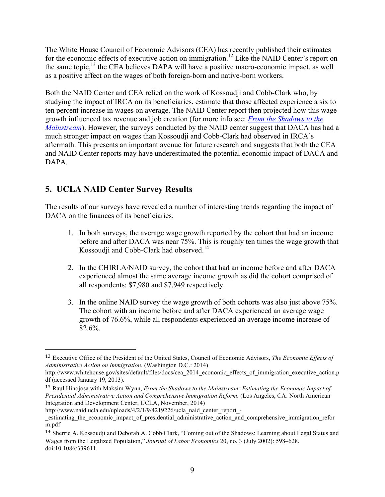The White House Council of Economic Advisors (CEA) has recently published their estimates for the economic effects of executive action on immigration.<sup>12</sup> Like the NAID Center's report on the same topic, $13$  the CEA believes DAPA will have a positive macro-economic impact, as well as a positive affect on the wages of both foreign-born and native-born workers.

Both the NAID Center and CEA relied on the work of Kossoudji and Cobb-Clark who, by studying the impact of IRCA on its beneficiaries, estimate that those affected experience a six to ten percent increase in wages on average. The NAID Center report then projected how this wage growth influenced tax revenue and job creation (for more info see: *From the Shadows to the Mainstream*). However, the surveys conducted by the NAID center suggest that DACA has had a much stronger impact on wages than Kossoudji and Cobb-Clark had observed in IRCA's aftermath. This presents an important avenue for future research and suggests that both the CEA and NAID Center reports may have underestimated the potential economic impact of DACA and DAPA.

## **5. UCLA NAID Center Survey Results**

 

The results of our surveys have revealed a number of interesting trends regarding the impact of DACA on the finances of its beneficiaries.

- 1. In both surveys, the average wage growth reported by the cohort that had an income before and after DACA was near 75%. This is roughly ten times the wage growth that Kossoudji and Cobb-Clark had observed.<sup>14</sup>
- 2. In the CHIRLA/NAID survey, the cohort that had an income before and after DACA experienced almost the same average income growth as did the cohort comprised of all respondents: \$7,980 and \$7,949 respectively.
- 3. In the online NAID survey the wage growth of both cohorts was also just above 75%. The cohort with an income before and after DACA experienced an average wage growth of 76.6%, while all respondents experienced an average income increase of 82.6%.

<sup>12</sup> Executive Office of the President of the United States, Council of Economic Advisors, *The Economic Effects of Administrative Action on Immigration.* (Washington D.C.: 2014)

http://www.whitehouse.gov/sites/default/files/docs/cea\_2014\_economic\_effects\_of\_immigration\_executive\_action.p df (accessed January 19, 2013).

<sup>13</sup> Raul Hinojosa with Maksim Wynn, *From the Shadows to the Mainstream: Estimating the Economic Impact of Presidential Administrative Action and Comprehensive Immigration Reform,* (Los Angeles, CA: North American Integration and Development Center, UCLA, November, 2014)

http://www.naid.ucla.edu/uploads/4/2/1/9/4219226/ucla\_naid\_center\_report\_-

\_estimating\_the\_economic\_impact\_of\_presidential\_administrative\_action\_and\_comprehensive\_immigration\_refor m.pdf

<sup>14</sup> Sherrie A. Kossoudji and Deborah A. Cobb*‐*Clark, "Coming out of the Shadows: Learning about Legal Status and Wages from the Legalized Population," *Journal of Labor Economics* 20, no. 3 (July 2002): 598–628, doi:10.1086/339611.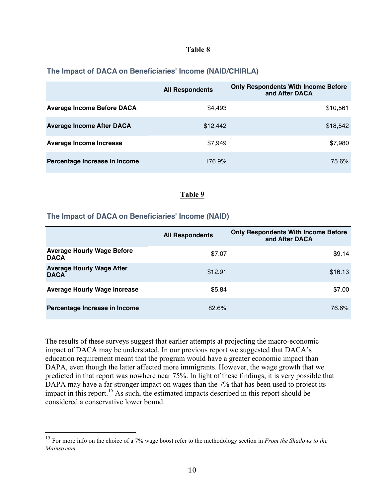#### **Table 8**

#### **The Impact of DACA on Beneficiaries' Income (NAID/CHIRLA)**

|                                   | <b>All Respondents</b> | <b>Only Respondents With Income Before</b><br>and After DACA |
|-----------------------------------|------------------------|--------------------------------------------------------------|
| <b>Average Income Before DACA</b> | \$4,493                | \$10,561                                                     |
| <b>Average Income After DACA</b>  | \$12,442               | \$18,542                                                     |
| Average Income Increase           | \$7,949                | \$7,980                                                      |
| Percentage Increase in Income     | 176.9%                 | 75.6%                                                        |

#### **Table 9**

#### **The Impact of DACA on Beneficiaries' Income (NAID)**

|                                                  | <b>All Respondents</b> | <b>Only Respondents With Income Before</b><br>and After DACA |
|--------------------------------------------------|------------------------|--------------------------------------------------------------|
| <b>Average Hourly Wage Before</b><br><b>DACA</b> | \$7.07                 | \$9.14                                                       |
| <b>Average Hourly Wage After</b><br><b>DACA</b>  | \$12.91                | \$16.13                                                      |
| <b>Average Hourly Wage Increase</b>              | \$5.84                 | \$7.00                                                       |
| Percentage Increase in Income                    | 82.6%                  | 76.6%                                                        |

The results of these surveys suggest that earlier attempts at projecting the macro-economic impact of DACA may be understated. In our previous report we suggested that DACA's education requirement meant that the program would have a greater economic impact than DAPA, even though the latter affected more immigrants. However, the wage growth that we predicted in that report was nowhere near 75%. In light of these findings, it is very possible that DAPA may have a far stronger impact on wages than the 7% that has been used to project its impact in this report.<sup>15</sup> As such, the estimated impacts described in this report should be considered a conservative lower bound.

 <sup>15</sup> For more info on the choice of a 7% wage boost refer to the methodology section in *From the Shadows to the Mainstream.*